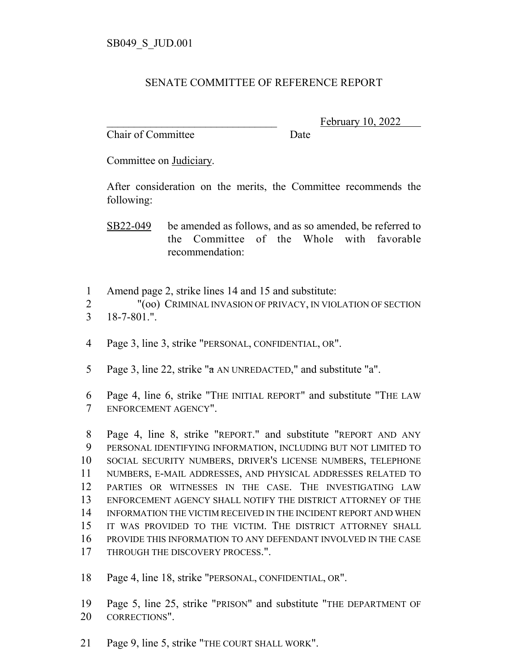## SENATE COMMITTEE OF REFERENCE REPORT

Chair of Committee Date

February 10, 2022

Committee on Judiciary.

After consideration on the merits, the Committee recommends the following:

SB22-049 be amended as follows, and as so amended, be referred to the Committee of the Whole with favorable recommendation:

Amend page 2, strike lines 14 and 15 and substitute:

"(oo) CRIMINAL INVASION OF PRIVACY, IN VIOLATION OF SECTION

- 18-7-801.".
- Page 3, line 3, strike "PERSONAL, CONFIDENTIAL, OR".
- Page 3, line 22, strike "a AN UNREDACTED," and substitute "a".
- Page 4, line 6, strike "THE INITIAL REPORT" and substitute "THE LAW ENFORCEMENT AGENCY".

 Page 4, line 8, strike "REPORT." and substitute "REPORT AND ANY PERSONAL IDENTIFYING INFORMATION, INCLUDING BUT NOT LIMITED TO SOCIAL SECURITY NUMBERS, DRIVER'S LICENSE NUMBERS, TELEPHONE NUMBERS, E-MAIL ADDRESSES, AND PHYSICAL ADDRESSES RELATED TO PARTIES OR WITNESSES IN THE CASE. THE INVESTIGATING LAW ENFORCEMENT AGENCY SHALL NOTIFY THE DISTRICT ATTORNEY OF THE INFORMATION THE VICTIM RECEIVED IN THE INCIDENT REPORT AND WHEN IT WAS PROVIDED TO THE VICTIM. THE DISTRICT ATTORNEY SHALL PROVIDE THIS INFORMATION TO ANY DEFENDANT INVOLVED IN THE CASE 17 THROUGH THE DISCOVERY PROCESS.".

Page 4, line 18, strike "PERSONAL, CONFIDENTIAL, OR".

 Page 5, line 25, strike "PRISON" and substitute "THE DEPARTMENT OF CORRECTIONS".

Page 9, line 5, strike "THE COURT SHALL WORK".